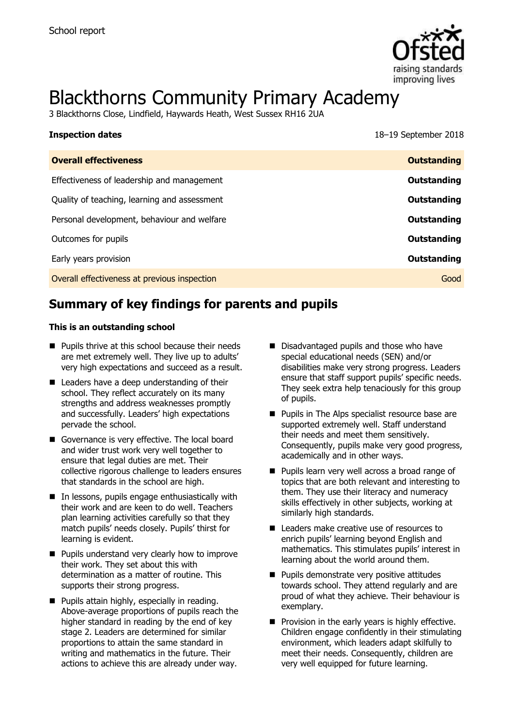

# Blackthorns Community Primary Academy

3 Blackthorns Close, Lindfield, Haywards Heath, West Sussex RH16 2UA

| <b>Inspection dates</b>                      | 18–19 September 2018 |
|----------------------------------------------|----------------------|
| <b>Overall effectiveness</b>                 | <b>Outstanding</b>   |
| Effectiveness of leadership and management   | Outstanding          |
| Quality of teaching, learning and assessment | Outstanding          |
| Personal development, behaviour and welfare  | Outstanding          |
| Outcomes for pupils                          | <b>Outstanding</b>   |
| Early years provision                        | Outstanding          |
| Overall effectiveness at previous inspection | Good                 |

# **Summary of key findings for parents and pupils**

#### **This is an outstanding school**

- **Pupils thrive at this school because their needs** are met extremely well. They live up to adults' very high expectations and succeed as a result.
- Leaders have a deep understanding of their school. They reflect accurately on its many strengths and address weaknesses promptly and successfully. Leaders' high expectations pervade the school.
- Governance is very effective. The local board and wider trust work very well together to ensure that legal duties are met. Their collective rigorous challenge to leaders ensures that standards in the school are high.
- In lessons, pupils engage enthusiastically with their work and are keen to do well. Teachers plan learning activities carefully so that they match pupils' needs closely. Pupils' thirst for learning is evident.
- **Pupils understand very clearly how to improve** their work. They set about this with determination as a matter of routine. This supports their strong progress.
- **Pupils attain highly, especially in reading.** Above-average proportions of pupils reach the higher standard in reading by the end of key stage 2. Leaders are determined for similar proportions to attain the same standard in writing and mathematics in the future. Their actions to achieve this are already under way.
- Disadvantaged pupils and those who have special educational needs (SEN) and/or disabilities make very strong progress. Leaders ensure that staff support pupils' specific needs. They seek extra help tenaciously for this group of pupils.
- **Pupils in The Alps specialist resource base are** supported extremely well. Staff understand their needs and meet them sensitively. Consequently, pupils make very good progress, academically and in other ways.
- **Pupils learn very well across a broad range of** topics that are both relevant and interesting to them. They use their literacy and numeracy skills effectively in other subjects, working at similarly high standards.
- Leaders make creative use of resources to enrich pupils' learning beyond English and mathematics. This stimulates pupils' interest in learning about the world around them.
- **Pupils demonstrate very positive attitudes** towards school. They attend regularly and are proud of what they achieve. Their behaviour is exemplary.
- $\blacksquare$  Provision in the early years is highly effective. Children engage confidently in their stimulating environment, which leaders adapt skilfully to meet their needs. Consequently, children are very well equipped for future learning.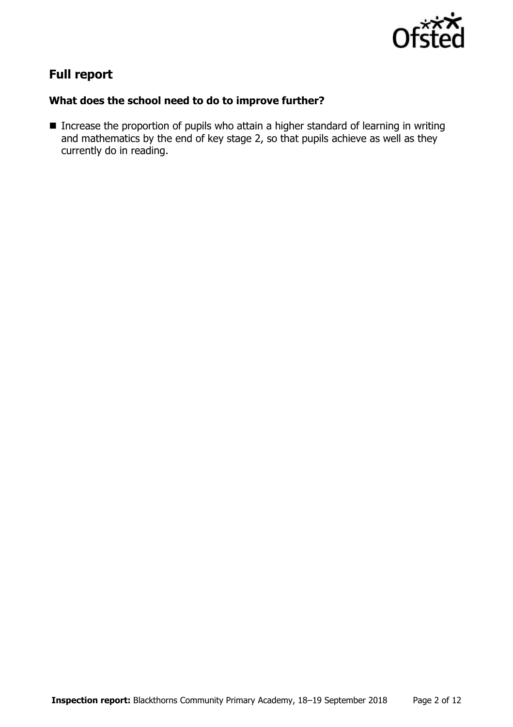

# **Full report**

## **What does the school need to do to improve further?**

■ Increase the proportion of pupils who attain a higher standard of learning in writing and mathematics by the end of key stage 2, so that pupils achieve as well as they currently do in reading.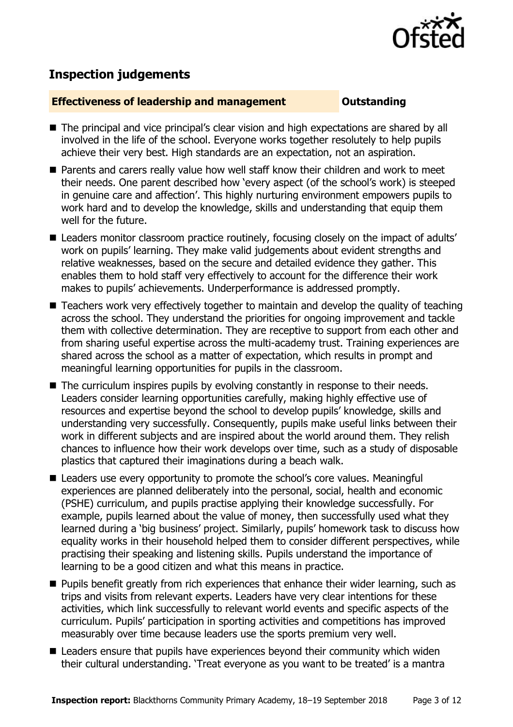

# **Inspection judgements**

#### **Effectiveness of leadership and management COULDER COULDER OUTSTANDING**

- The principal and vice principal's clear vision and high expectations are shared by all involved in the life of the school. Everyone works together resolutely to help pupils achieve their very best. High standards are an expectation, not an aspiration.
- Parents and carers really value how well staff know their children and work to meet their needs. One parent described how 'every aspect (of the school's work) is steeped in genuine care and affection'. This highly nurturing environment empowers pupils to work hard and to develop the knowledge, skills and understanding that equip them well for the future.
- Leaders monitor classroom practice routinely, focusing closely on the impact of adults' work on pupils' learning. They make valid judgements about evident strengths and relative weaknesses, based on the secure and detailed evidence they gather. This enables them to hold staff very effectively to account for the difference their work makes to pupils' achievements. Underperformance is addressed promptly.
- Teachers work very effectively together to maintain and develop the quality of teaching across the school. They understand the priorities for ongoing improvement and tackle them with collective determination. They are receptive to support from each other and from sharing useful expertise across the multi-academy trust. Training experiences are shared across the school as a matter of expectation, which results in prompt and meaningful learning opportunities for pupils in the classroom.
- The curriculum inspires pupils by evolving constantly in response to their needs. Leaders consider learning opportunities carefully, making highly effective use of resources and expertise beyond the school to develop pupils' knowledge, skills and understanding very successfully. Consequently, pupils make useful links between their work in different subjects and are inspired about the world around them. They relish chances to influence how their work develops over time, such as a study of disposable plastics that captured their imaginations during a beach walk.
- Leaders use every opportunity to promote the school's core values. Meaningful experiences are planned deliberately into the personal, social, health and economic (PSHE) curriculum, and pupils practise applying their knowledge successfully. For example, pupils learned about the value of money, then successfully used what they learned during a 'big business' project. Similarly, pupils' homework task to discuss how equality works in their household helped them to consider different perspectives, while practising their speaking and listening skills. Pupils understand the importance of learning to be a good citizen and what this means in practice.
- **Pupils benefit greatly from rich experiences that enhance their wider learning, such as** trips and visits from relevant experts. Leaders have very clear intentions for these activities, which link successfully to relevant world events and specific aspects of the curriculum. Pupils' participation in sporting activities and competitions has improved measurably over time because leaders use the sports premium very well.
- Leaders ensure that pupils have experiences beyond their community which widen their cultural understanding. 'Treat everyone as you want to be treated' is a mantra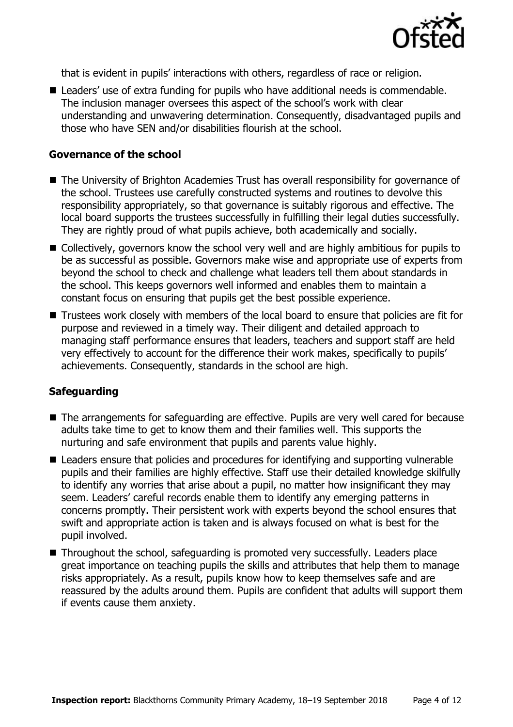

that is evident in pupils' interactions with others, regardless of race or religion.

■ Leaders' use of extra funding for pupils who have additional needs is commendable. The inclusion manager oversees this aspect of the school's work with clear understanding and unwavering determination. Consequently, disadvantaged pupils and those who have SEN and/or disabilities flourish at the school.

#### **Governance of the school**

- The University of Brighton Academies Trust has overall responsibility for governance of the school. Trustees use carefully constructed systems and routines to devolve this responsibility appropriately, so that governance is suitably rigorous and effective. The local board supports the trustees successfully in fulfilling their legal duties successfully. They are rightly proud of what pupils achieve, both academically and socially.
- Collectively, governors know the school very well and are highly ambitious for pupils to be as successful as possible. Governors make wise and appropriate use of experts from beyond the school to check and challenge what leaders tell them about standards in the school. This keeps governors well informed and enables them to maintain a constant focus on ensuring that pupils get the best possible experience.
- Trustees work closely with members of the local board to ensure that policies are fit for purpose and reviewed in a timely way. Their diligent and detailed approach to managing staff performance ensures that leaders, teachers and support staff are held very effectively to account for the difference their work makes, specifically to pupils' achievements. Consequently, standards in the school are high.

### **Safeguarding**

- The arrangements for safeguarding are effective. Pupils are very well cared for because adults take time to get to know them and their families well. This supports the nurturing and safe environment that pupils and parents value highly.
- Leaders ensure that policies and procedures for identifying and supporting vulnerable pupils and their families are highly effective. Staff use their detailed knowledge skilfully to identify any worries that arise about a pupil, no matter how insignificant they may seem. Leaders' careful records enable them to identify any emerging patterns in concerns promptly. Their persistent work with experts beyond the school ensures that swift and appropriate action is taken and is always focused on what is best for the pupil involved.
- Throughout the school, safeguarding is promoted very successfully. Leaders place great importance on teaching pupils the skills and attributes that help them to manage risks appropriately. As a result, pupils know how to keep themselves safe and are reassured by the adults around them. Pupils are confident that adults will support them if events cause them anxiety.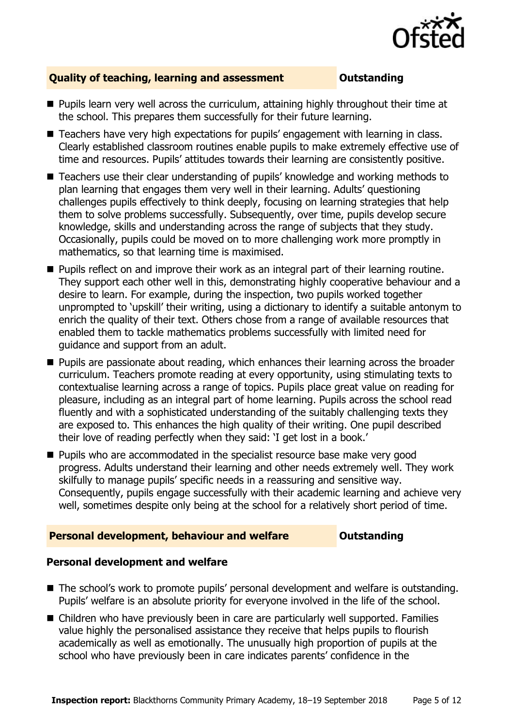

#### **Quality of teaching, learning and assessment <b>COUTS** Outstanding

- **Pupils learn very well across the curriculum, attaining highly throughout their time at** the school. This prepares them successfully for their future learning.
- Teachers have very high expectations for pupils' engagement with learning in class. Clearly established classroom routines enable pupils to make extremely effective use of time and resources. Pupils' attitudes towards their learning are consistently positive.
- Teachers use their clear understanding of pupils' knowledge and working methods to plan learning that engages them very well in their learning. Adults' questioning challenges pupils effectively to think deeply, focusing on learning strategies that help them to solve problems successfully. Subsequently, over time, pupils develop secure knowledge, skills and understanding across the range of subjects that they study. Occasionally, pupils could be moved on to more challenging work more promptly in mathematics, so that learning time is maximised.
- **Pupils reflect on and improve their work as an integral part of their learning routine.** They support each other well in this, demonstrating highly cooperative behaviour and a desire to learn. For example, during the inspection, two pupils worked together unprompted to 'upskill' their writing, using a dictionary to identify a suitable antonym to enrich the quality of their text. Others chose from a range of available resources that enabled them to tackle mathematics problems successfully with limited need for guidance and support from an adult.
- **Pupils are passionate about reading, which enhances their learning across the broader** curriculum. Teachers promote reading at every opportunity, using stimulating texts to contextualise learning across a range of topics. Pupils place great value on reading for pleasure, including as an integral part of home learning. Pupils across the school read fluently and with a sophisticated understanding of the suitably challenging texts they are exposed to. This enhances the high quality of their writing. One pupil described their love of reading perfectly when they said: 'I get lost in a book.'
- **Pupils who are accommodated in the specialist resource base make very good** progress. Adults understand their learning and other needs extremely well. They work skilfully to manage pupils' specific needs in a reassuring and sensitive way. Consequently, pupils engage successfully with their academic learning and achieve very well, sometimes despite only being at the school for a relatively short period of time.

#### **Personal development, behaviour and welfare <b>COU** Outstanding

#### **Personal development and welfare**

- The school's work to promote pupils' personal development and welfare is outstanding. Pupils' welfare is an absolute priority for everyone involved in the life of the school.
- Children who have previously been in care are particularly well supported. Families value highly the personalised assistance they receive that helps pupils to flourish academically as well as emotionally. The unusually high proportion of pupils at the school who have previously been in care indicates parents' confidence in the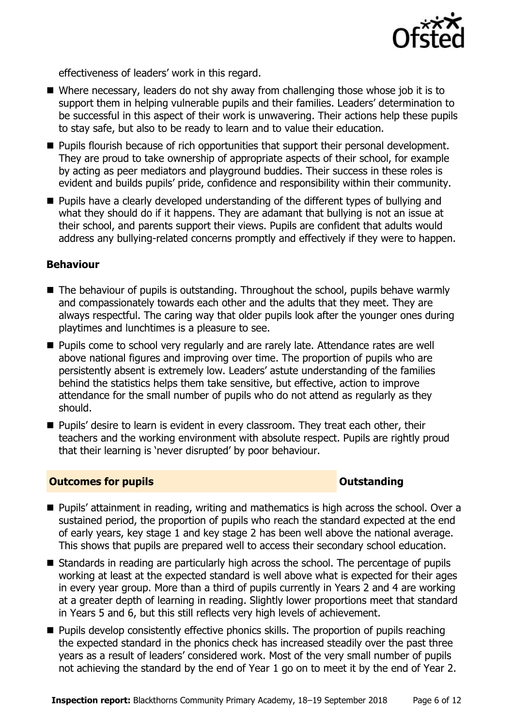

effectiveness of leaders' work in this regard.

- Where necessary, leaders do not shy away from challenging those whose job it is to support them in helping vulnerable pupils and their families. Leaders' determination to be successful in this aspect of their work is unwavering. Their actions help these pupils to stay safe, but also to be ready to learn and to value their education.
- **Pupils flourish because of rich opportunities that support their personal development.** They are proud to take ownership of appropriate aspects of their school, for example by acting as peer mediators and playground buddies. Their success in these roles is evident and builds pupils' pride, confidence and responsibility within their community.
- **Pupils have a clearly developed understanding of the different types of bullying and** what they should do if it happens. They are adamant that bullying is not an issue at their school, and parents support their views. Pupils are confident that adults would address any bullying-related concerns promptly and effectively if they were to happen.

#### **Behaviour**

- $\blacksquare$  The behaviour of pupils is outstanding. Throughout the school, pupils behave warmly and compassionately towards each other and the adults that they meet. They are always respectful. The caring way that older pupils look after the younger ones during playtimes and lunchtimes is a pleasure to see.
- **Pupils come to school very regularly and are rarely late. Attendance rates are well** above national figures and improving over time. The proportion of pupils who are persistently absent is extremely low. Leaders' astute understanding of the families behind the statistics helps them take sensitive, but effective, action to improve attendance for the small number of pupils who do not attend as regularly as they should.
- **Pupils'** desire to learn is evident in every classroom. They treat each other, their teachers and the working environment with absolute respect. Pupils are rightly proud that their learning is 'never disrupted' by poor behaviour.

### **Outcomes for pupils Outstanding**

- Pupils' attainment in reading, writing and mathematics is high across the school. Over a sustained period, the proportion of pupils who reach the standard expected at the end of early years, key stage 1 and key stage 2 has been well above the national average. This shows that pupils are prepared well to access their secondary school education.
- Standards in reading are particularly high across the school. The percentage of pupils working at least at the expected standard is well above what is expected for their ages in every year group. More than a third of pupils currently in Years 2 and 4 are working at a greater depth of learning in reading. Slightly lower proportions meet that standard in Years 5 and 6, but this still reflects very high levels of achievement.
- **Pupils develop consistently effective phonics skills. The proportion of pupils reaching** the expected standard in the phonics check has increased steadily over the past three years as a result of leaders' considered work. Most of the very small number of pupils not achieving the standard by the end of Year 1 go on to meet it by the end of Year 2.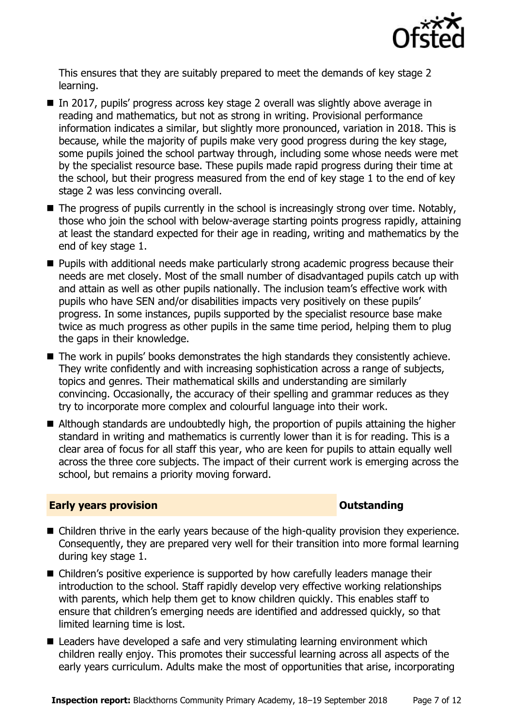

This ensures that they are suitably prepared to meet the demands of key stage 2 learning.

- In 2017, pupils' progress across key stage 2 overall was slightly above average in reading and mathematics, but not as strong in writing. Provisional performance information indicates a similar, but slightly more pronounced, variation in 2018. This is because, while the majority of pupils make very good progress during the key stage, some pupils joined the school partway through, including some whose needs were met by the specialist resource base. These pupils made rapid progress during their time at the school, but their progress measured from the end of key stage 1 to the end of key stage 2 was less convincing overall.
- The progress of pupils currently in the school is increasingly strong over time. Notably, those who join the school with below-average starting points progress rapidly, attaining at least the standard expected for their age in reading, writing and mathematics by the end of key stage 1.
- Pupils with additional needs make particularly strong academic progress because their needs are met closely. Most of the small number of disadvantaged pupils catch up with and attain as well as other pupils nationally. The inclusion team's effective work with pupils who have SEN and/or disabilities impacts very positively on these pupils' progress. In some instances, pupils supported by the specialist resource base make twice as much progress as other pupils in the same time period, helping them to plug the gaps in their knowledge.
- The work in pupils' books demonstrates the high standards they consistently achieve. They write confidently and with increasing sophistication across a range of subjects, topics and genres. Their mathematical skills and understanding are similarly convincing. Occasionally, the accuracy of their spelling and grammar reduces as they try to incorporate more complex and colourful language into their work.
- Although standards are undoubtedly high, the proportion of pupils attaining the higher standard in writing and mathematics is currently lower than it is for reading. This is a clear area of focus for all staff this year, who are keen for pupils to attain equally well across the three core subjects. The impact of their current work is emerging across the school, but remains a priority moving forward.

### **Early years provision CONSTANDING TO A RESEARCH CONSTANDING TO A RESEARCH CONSTANDING TO A RESEARCH CONSTANDING TO A RESEARCH CONSTANDING TO A RESEARCH CONSTANDING TO A RESEARCH CONSTANDING TO A RESEARCH CONSTANDING TO**

- Children thrive in the early years because of the high-quality provision they experience. Consequently, they are prepared very well for their transition into more formal learning during key stage 1.
- Children's positive experience is supported by how carefully leaders manage their introduction to the school. Staff rapidly develop very effective working relationships with parents, which help them get to know children quickly. This enables staff to ensure that children's emerging needs are identified and addressed quickly, so that limited learning time is lost.
- Leaders have developed a safe and very stimulating learning environment which children really enjoy. This promotes their successful learning across all aspects of the early years curriculum. Adults make the most of opportunities that arise, incorporating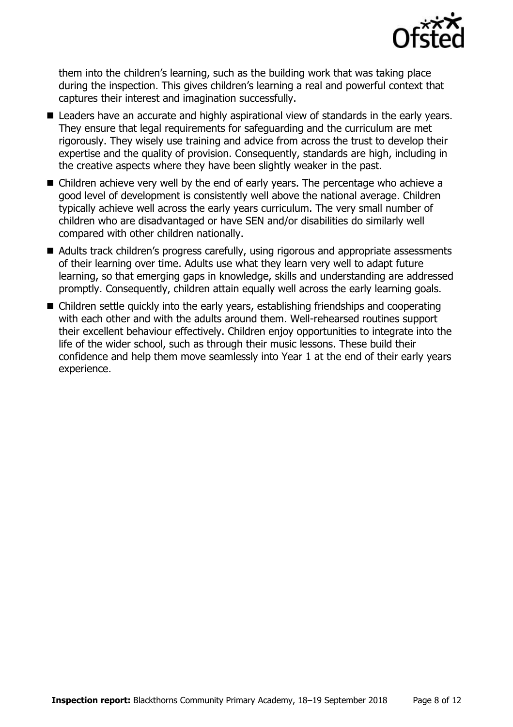

them into the children's learning, such as the building work that was taking place during the inspection. This gives children's learning a real and powerful context that captures their interest and imagination successfully.

- Leaders have an accurate and highly aspirational view of standards in the early years. They ensure that legal requirements for safeguarding and the curriculum are met rigorously. They wisely use training and advice from across the trust to develop their expertise and the quality of provision. Consequently, standards are high, including in the creative aspects where they have been slightly weaker in the past.
- Children achieve very well by the end of early years. The percentage who achieve a good level of development is consistently well above the national average. Children typically achieve well across the early years curriculum. The very small number of children who are disadvantaged or have SEN and/or disabilities do similarly well compared with other children nationally.
- Adults track children's progress carefully, using rigorous and appropriate assessments of their learning over time. Adults use what they learn very well to adapt future learning, so that emerging gaps in knowledge, skills and understanding are addressed promptly. Consequently, children attain equally well across the early learning goals.
- Children settle quickly into the early years, establishing friendships and cooperating with each other and with the adults around them. Well-rehearsed routines support their excellent behaviour effectively. Children enjoy opportunities to integrate into the life of the wider school, such as through their music lessons. These build their confidence and help them move seamlessly into Year 1 at the end of their early years experience.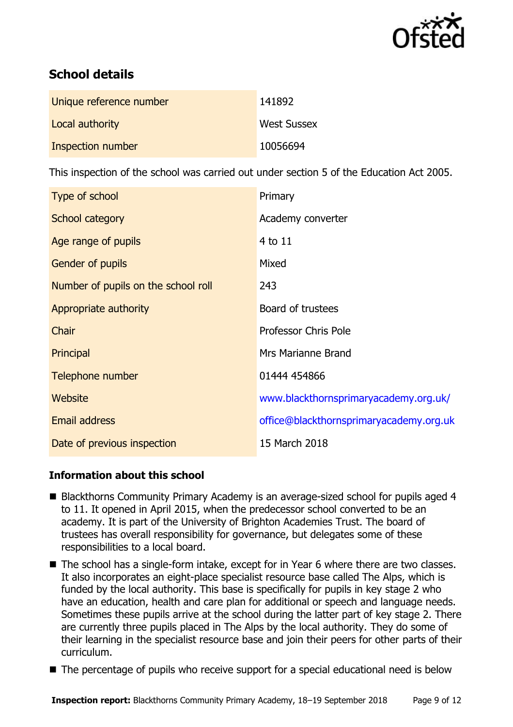

# **School details**

| Unique reference number | 141892             |
|-------------------------|--------------------|
| Local authority         | <b>West Sussex</b> |
| Inspection number       | 10056694           |

This inspection of the school was carried out under section 5 of the Education Act 2005.

| Type of school                      | Primary                                 |
|-------------------------------------|-----------------------------------------|
| School category                     | Academy converter                       |
| Age range of pupils                 | 4 to 11                                 |
| <b>Gender of pupils</b>             | Mixed                                   |
| Number of pupils on the school roll | 243                                     |
| Appropriate authority               | Board of trustees                       |
| Chair                               | <b>Professor Chris Pole</b>             |
| Principal                           | Mrs Marianne Brand                      |
| Telephone number                    | 01444 454866                            |
| Website                             | www.blackthornsprimaryacademy.org.uk/   |
| <b>Email address</b>                | office@blackthornsprimaryacademy.org.uk |
| Date of previous inspection         | 15 March 2018                           |

### **Information about this school**

- Blackthorns Community Primary Academy is an average-sized school for pupils aged 4 to 11. It opened in April 2015, when the predecessor school converted to be an academy. It is part of the University of Brighton Academies Trust. The board of trustees has overall responsibility for governance, but delegates some of these responsibilities to a local board.
- The school has a single-form intake, except for in Year 6 where there are two classes. It also incorporates an eight-place specialist resource base called The Alps, which is funded by the local authority. This base is specifically for pupils in key stage 2 who have an education, health and care plan for additional or speech and language needs. Sometimes these pupils arrive at the school during the latter part of key stage 2. There are currently three pupils placed in The Alps by the local authority. They do some of their learning in the specialist resource base and join their peers for other parts of their curriculum.
- The percentage of pupils who receive support for a special educational need is below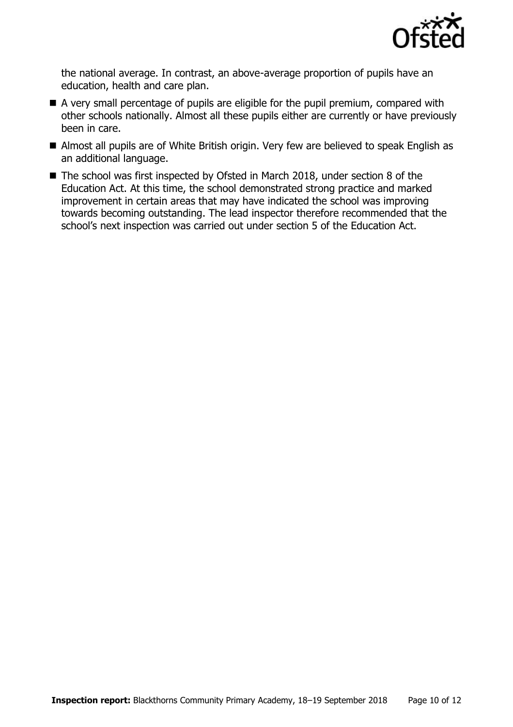

the national average. In contrast, an above-average proportion of pupils have an education, health and care plan.

- A very small percentage of pupils are eligible for the pupil premium, compared with other schools nationally. Almost all these pupils either are currently or have previously been in care.
- Almost all pupils are of White British origin. Very few are believed to speak English as an additional language.
- The school was first inspected by Ofsted in March 2018, under section 8 of the Education Act. At this time, the school demonstrated strong practice and marked improvement in certain areas that may have indicated the school was improving towards becoming outstanding. The lead inspector therefore recommended that the school's next inspection was carried out under section 5 of the Education Act.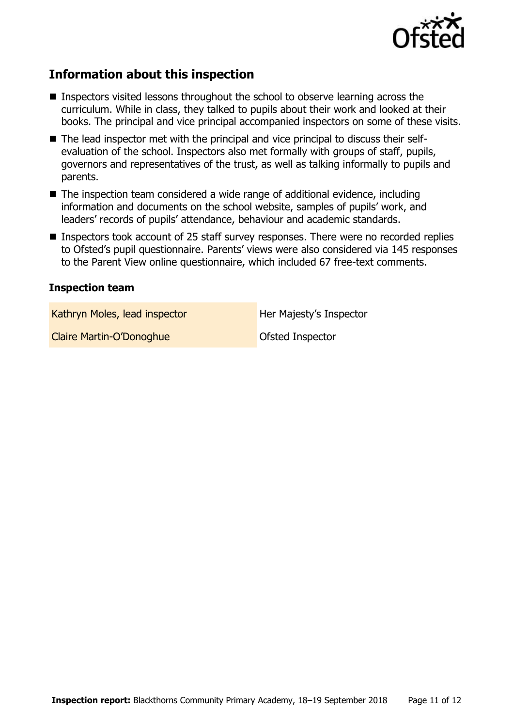

# **Information about this inspection**

- Inspectors visited lessons throughout the school to observe learning across the curriculum. While in class, they talked to pupils about their work and looked at their books. The principal and vice principal accompanied inspectors on some of these visits.
- The lead inspector met with the principal and vice principal to discuss their selfevaluation of the school. Inspectors also met formally with groups of staff, pupils, governors and representatives of the trust, as well as talking informally to pupils and parents.
- The inspection team considered a wide range of additional evidence, including information and documents on the school website, samples of pupils' work, and leaders' records of pupils' attendance, behaviour and academic standards.
- Inspectors took account of 25 staff survey responses. There were no recorded replies to Ofsted's pupil questionnaire. Parents' views were also considered via 145 responses to the Parent View online questionnaire, which included 67 free-text comments.

#### **Inspection team**

Kathryn Moles, lead inspector **Her Majesty's Inspector** 

Claire Martin-O'Donoghue **Claire Martin-O'Donoghue** Ofsted Inspector